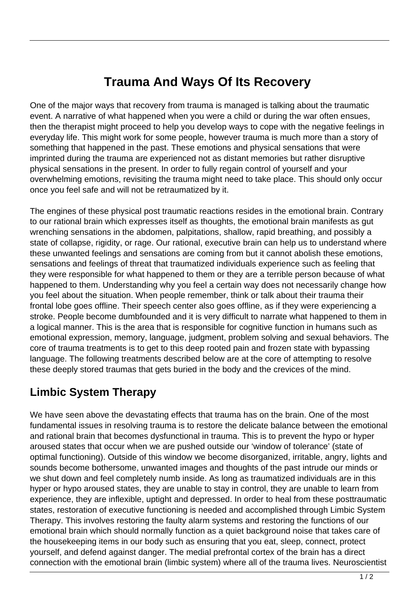## **Trauma And Ways Of Its Recovery**

One of the major ways that recovery from trauma is managed is talking about the traumatic event. A narrative of what happened when you were a child or during the war often ensues, then the therapist might proceed to help you develop ways to cope with the negative feelings in everyday life. This might work for some people, however trauma is much more than a story of something that happened in the past. These emotions and physical sensations that were imprinted during the trauma are experienced not as distant memories but rather disruptive physical sensations in the present. In order to fully regain control of yourself and your overwhelming emotions, revisiting the trauma might need to take place. This should only occur once you feel safe and will not be retraumatized by it.

The engines of these physical post traumatic reactions resides in the emotional brain. Contrary to our rational brain which expresses itself as thoughts, the emotional brain manifests as gut wrenching sensations in the abdomen, palpitations, shallow, rapid breathing, and possibly a state of collapse, rigidity, or rage. Our rational, executive brain can help us to understand where these unwanted feelings and sensations are coming from but it cannot abolish these emotions, sensations and feelings of threat that traumatized individuals experience such as feeling that they were responsible for what happened to them or they are a terrible person because of what happened to them. Understanding why you feel a certain way does not necessarily change how you feel about the situation. When people remember, think or talk about their trauma their frontal lobe goes offline. Their speech center also goes offline, as if they were experiencing a stroke. People become dumbfounded and it is very difficult to narrate what happened to them in a logical manner. This is the area that is responsible for cognitive function in humans such as emotional expression, memory, language, judgment, problem solving and sexual behaviors. The core of trauma treatments is to get to this deep rooted pain and frozen state with bypassing language. The following treatments described below are at the core of attempting to resolve these deeply stored traumas that gets buried in the body and the crevices of the mind.

## **Limbic System Therapy**

We have seen above the devastating effects that trauma has on the brain. One of the most fundamental issues in resolving trauma is to restore the delicate balance between the emotional and rational brain that becomes dysfunctional in trauma. This is to prevent the hypo or hyper aroused states that occur when we are pushed outside our 'window of tolerance' (state of optimal functioning). Outside of this window we become disorganized, irritable, angry, lights and sounds become bothersome, unwanted images and thoughts of the past intrude our minds or we shut down and feel completely numb inside. As long as traumatized individuals are in this hyper or hypo aroused states, they are unable to stay in control, they are unable to learn from experience, they are inflexible, uptight and depressed. In order to heal from these posttraumatic states, restoration of executive functioning is needed and accomplished through Limbic System Therapy. This involves restoring the faulty alarm systems and restoring the functions of our emotional brain which should normally function as a quiet background noise that takes care of the housekeeping items in our body such as ensuring that you eat, sleep, connect, protect yourself, and defend against danger. The medial prefrontal cortex of the brain has a direct connection with the emotional brain (limbic system) where all of the trauma lives. Neuroscientist